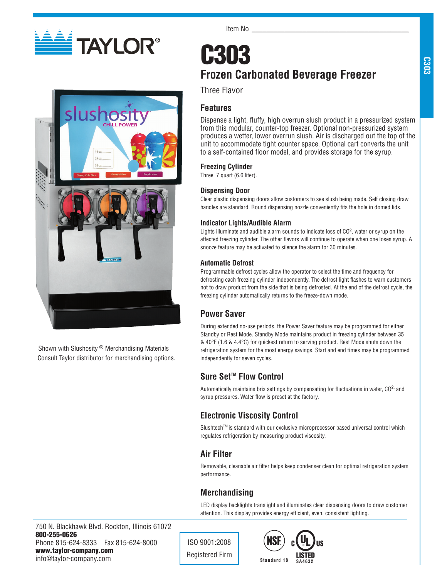



Shown with Slushosity ® Merchandising Materials Consult Taylor distributor for merchandising options. Item No.

# **C303 Frozen Carbonated Beverage Freezer**

Three Flavor

# **Features**

Dispense a light, fluffy, high overrun slush product in a pressurized system from this modular, counter-top freezer. Optional non-pressurized system produces a wetter, lower overrun slush. Air is discharged out the top of the unit to accommodate tight counter space. Optional cart converts the unit to a self-contained floor model, and provides storage for the syrup.

### **Freezing Cylinder**

Three, 7 quart (6.6 liter).

### **Dispensing Door**

Clear plastic dispensing doors allow customers to see slush being made. Self closing draw handles are standard. Round dispensing nozzle conveniently fits the hole in domed lids.

## **Indicator Lights/Audible Alarm**

Lights illuminate and audible alarm sounds to indicate loss of CO2, water or syrup on the affected freezing cylinder. The other flavors will continue to operate when one loses syrup. A snooze feature may be activated to silence the alarm for 30 minutes.

### **Automatic Defrost**

Programmable defrost cycles allow the operator to select the time and frequency for defrosting each freezing cylinder independently. The defrost light flashes to warn customers not to draw product from the side that is being defrosted. At the end of the defrost cycle, the freezing cylinder automatically returns to the freeze-down mode.

# **Power Saver**

During extended no-use periods, the Power Saver feature may be programmed for either Standby or Rest Mode. Standby Mode maintains product in freezing cylinder between 35 & 40°F (1.6 & 4.4°C) for quickest return to serving product. Rest Mode shuts down the refrigeration system for the most energy savings. Start and end times may be programmed independently for seven cycles.

# Sure Set<sup>™</sup> Flow Control

Automatically maintains brix settings by compensating for fluctuations in water,  $CO<sup>2</sup>$ , and syrup pressures. Water flow is preset at the factory.

# **Electronic Viscosity Control**

Slushtech™ is standard with our exclusive microprocessor based universal control which regulates refrigeration by measuring product viscosity.

# **Air Filter**

Removable, cleanable air filter helps keep condenser clean for optimal refrigeration system performance.

# **Merchandising**

LED display backlights translight and illuminates clear dispensing doors to draw customer attention. This display provides energy efficient, even, consistent lighting.

750 N. Blackhawk Blvd. Rockton, Illinois 61072 800-255-0626 Phone 815-624-8333 Fax 815-624-8000 www.taylor-company.com info@taylor-company.com

ISO 9001:2008 Registered Firm **Standard 18**